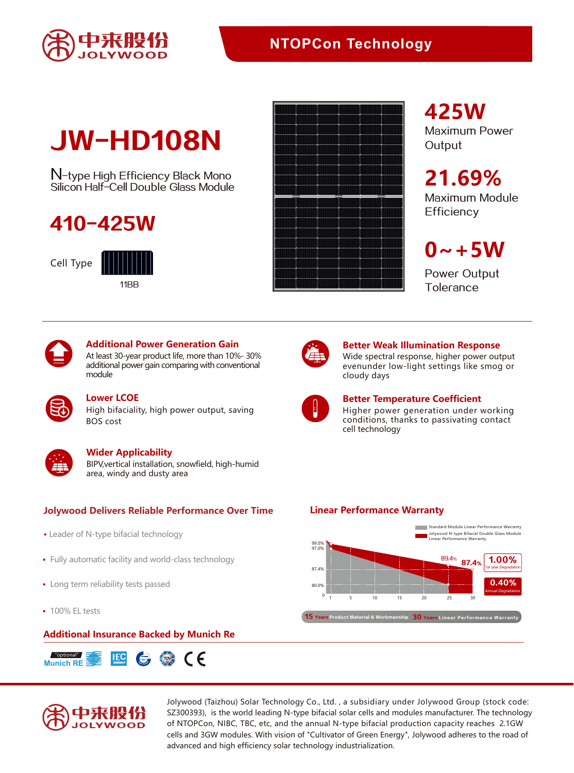

## **NTOPCon Technology**

# JW-HD108N

N-type High Efficiency Black Mono Silicon Half-Cell Double Glass Module

## 410-425W

Cell Type





## **425W**

Maximum Power **Output** 

## **21.69%**

Maximum Module **Efficiency** 

## $0 - +5W$

Power Output **Tolerance** 



#### **Additional Power Generation Gain**

At least 30-year product life, more than 10%- 30% additional power gain comparing with conventional module

High bifaciality, high power output, saving BOS cost **Lower LCOE**



#### **Wider Applicability**

BIPV,vertical installation, snowfield, high-humid area, windy and dusty area

#### **Jolywood Delivers Reliable Performance Over Time Linear Performance Warranty**

- Leader of N-type bifacial technology
- Fully automatic facility and world-class technology
- Long term reliability tests passed
- 100% EL tests

#### **Additional Insurance Backed by Munich Re**





Jolywood (Taizhou) Solar Technology Co., Ltd. , a subsidiary under Jolywood Group (stock code: SZ300393), is the world leading N-type bifacial solar cells and modules manufacturer. The technology of NTOPCon, NIBC, TBC, etc, and the annual N-type bifacial production capacity reaches 2.1GW cells and 3GW modules. With vision of "Cultivator of Green Energy", Jolywood adheres to the road of advanced and high efficiency solar technology industrialization.



#### **Better Weak Illumination Response**

Wide spectral response, higher power output evenunder low-light settings like smog or cloudy days



### **Better Temperature Coefficient**

Higher power generation under working conditions, thanks to passivating contact cell technology